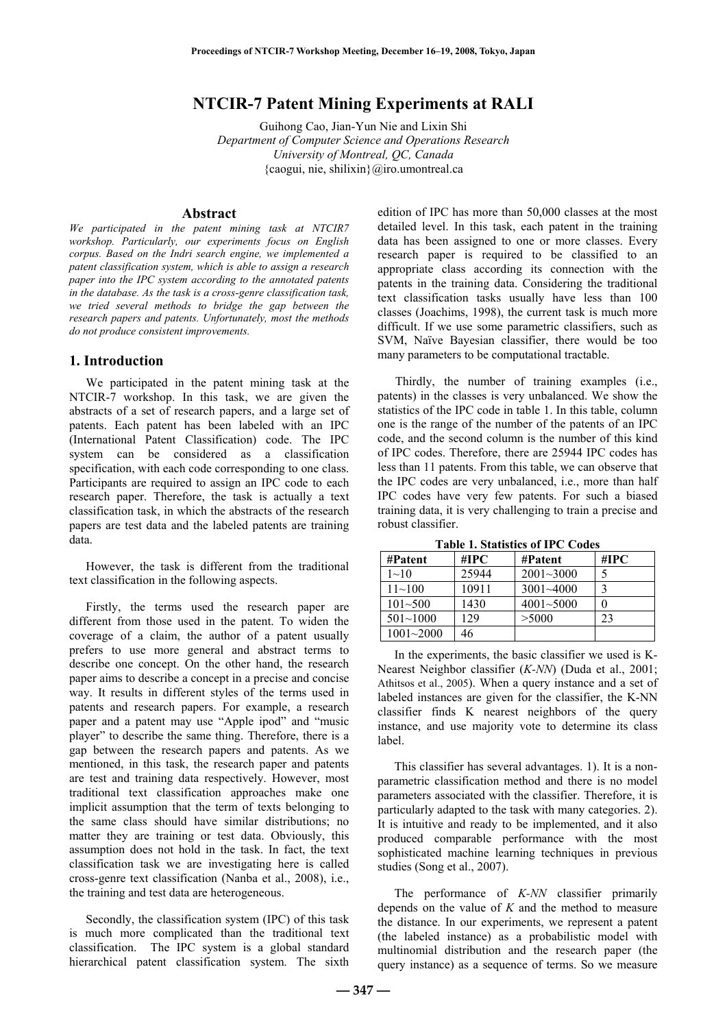# **NTCIR-7 Patent Mining Experiments at RALI**

Guihong Cao, Jian-Yun Nie and Lixin Shi *Department of Computer Science and Operations Research University of Montreal, QC, Canada*  {caogui, nie, shilixin}@iro.umontreal.ca

#### **Abstract**

*We participated in the patent mining task at NTCIR7 workshop. Particularly, our experiments focus on English corpus. Based on the Indri search engine, we implemented a patent classification system, which is able to assign a research paper into the IPC system according to the annotated patents in the database. As the task is a cross-genre classification task, we tried several methods to bridge the gap between the research papers and patents. Unfortunately, most the methods do not produce consistent improvements.* 

## **1. Introduction**

We participated in the patent mining task at the NTCIR-7 workshop. In this task, we are given the abstracts of a set of research papers, and a large set of patents. Each patent has been labeled with an IPC (International Patent Classification) code. The IPC system can be considered as a classification specification, with each code corresponding to one class. Participants are required to assign an IPC code to each research paper. Therefore, the task is actually a text classification task, in which the abstracts of the research papers are test data and the labeled patents are training data.

However, the task is different from the traditional text classification in the following aspects.

Firstly, the terms used the research paper are different from those used in the patent. To widen the coverage of a claim, the author of a patent usually prefers to use more general and abstract terms to describe one concept. On the other hand, the research paper aims to describe a concept in a precise and concise way. It results in different styles of the terms used in patents and research papers. For example, a research paper and a patent may use "Apple ipod" and "music player" to describe the same thing. Therefore, there is a gap between the research papers and patents. As we mentioned, in this task, the research paper and patents are test and training data respectively. However, most traditional text classification approaches make one implicit assumption that the term of texts belonging to the same class should have similar distributions; no matter they are training or test data. Obviously, this assumption does not hold in the task. In fact, the text classification task we are investigating here is called cross-genre text classification (Nanba et al., 2008), i.e., the training and test data are heterogeneous.

Secondly, the classification system (IPC) of this task is much more complicated than the traditional text classification. The IPC system is a global standard hierarchical patent classification system. The sixth

edition of IPC has more than 50,000 classes at the most detailed level. In this task, each patent in the training data has been assigned to one or more classes. Every research paper is required to be classified to an appropriate class according its connection with the patents in the training data. Considering the traditional text classification tasks usually have less than 100 classes (Joachims, 1998), the current task is much more difficult. If we use some parametric classifiers, such as SVM, Naïve Bayesian classifier, there would be too many parameters to be computational tractable.

Thirdly, the number of training examples (i.e., patents) in the classes is very unbalanced. We show the statistics of the IPC code in table 1. In this table, column one is the range of the number of the patents of an IPC code, and the second column is the number of this kind of IPC codes. Therefore, there are 25944 IPC codes has less than 11 patents. From this table, we can observe that the IPC codes are very unbalanced, i.e., more than half IPC codes have very few patents. For such a biased training data, it is very challenging to train a precise and robust classifier.

| тари приняли от не соци |       |               |      |
|-------------------------|-------|---------------|------|
| #Patent                 | #IPC  | #Patent       | #IPC |
| $1 - 10$                | 25944 | $2001 - 3000$ |      |
| $11 - 100$              | 10911 | $3001 - 4000$ |      |
| $101 - 500$             | 1430  | $4001 - 5000$ | 0    |
| $501 \sim 1000$         | 129   | > 5000        | 23   |
| $1001 - 2000$           | 46    |               |      |

**Table 1. Statistics of IPC Codes** 

In the experiments, the basic classifier we used is K-Nearest Neighbor classifier (*K-NN*) (Duda et al., 2001; Athitsos et al., 2005). When a query instance and a set of labeled instances are given for the classifier, the K-NN classifier finds K nearest neighbors of the query instance, and use majority vote to determine its class label.

This classifier has several advantages. 1). It is a nonparametric classification method and there is no model parameters associated with the classifier. Therefore, it is particularly adapted to the task with many categories. 2). It is intuitive and ready to be implemented, and it also produced comparable performance with the most sophisticated machine learning techniques in previous studies (Song et al., 2007).

The performance of *K-NN* classifier primarily depends on the value of *K* and the method to measure the distance. In our experiments, we represent a patent (the labeled instance) as a probabilistic model with multinomial distribution and the research paper (the query instance) as a sequence of terms. So we measure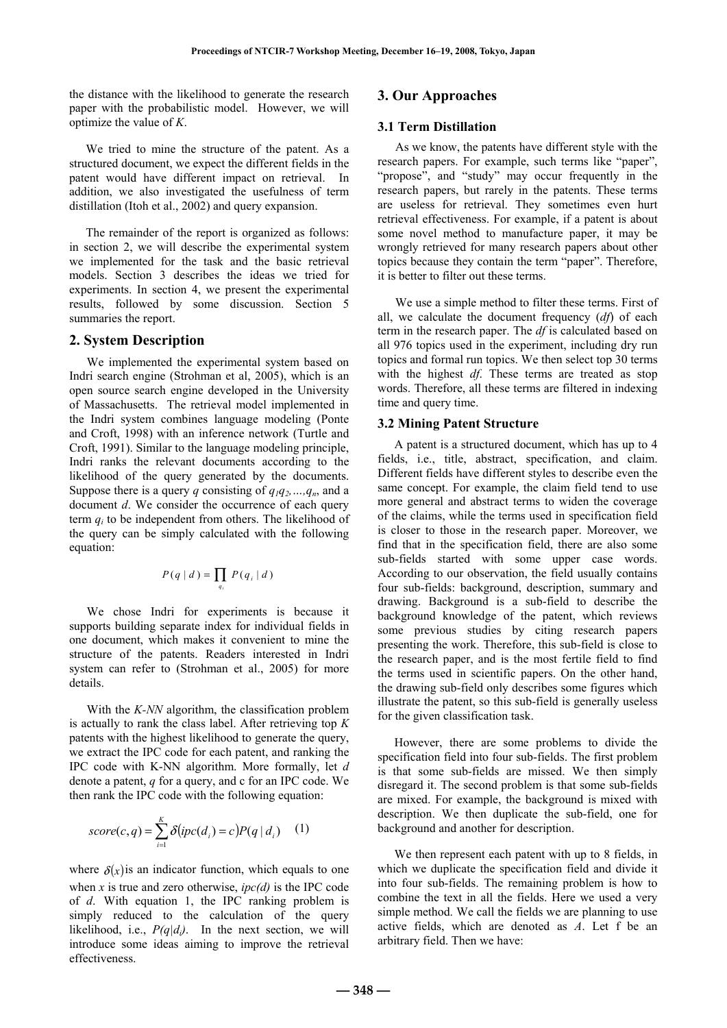the distance with the likelihood to generate the research paper with the probabilistic model. However, we will optimize the value of *K*.

We tried to mine the structure of the patent. As a structured document, we expect the different fields in the patent would have different impact on retrieval. In addition, we also investigated the usefulness of term distillation (Itoh et al., 2002) and query expansion.

The remainder of the report is organized as follows: in section 2, we will describe the experimental system we implemented for the task and the basic retrieval models. Section 3 describes the ideas we tried for experiments. In section 4, we present the experimental results, followed by some discussion. Section 5 summaries the report.

# **2. System Description**

We implemented the experimental system based on Indri search engine (Strohman et al, 2005), which is an open source search engine developed in the University of Massachusetts. The retrieval model implemented in the Indri system combines language modeling (Ponte and Croft, 1998) with an inference network (Turtle and Croft, 1991). Similar to the language modeling principle, Indri ranks the relevant documents according to the likelihood of the query generated by the documents. Suppose there is a query *q* consisting of  $q_1q_2,...,q_n$ , and a document *d*. We consider the occurrence of each query term  $q_i$  to be independent from others. The likelihood of the query can be simply calculated with the following equation:

$$
P(q | d) = \prod_{q_i} P(q_i | d)
$$

We chose Indri for experiments is because it supports building separate index for individual fields in one document, which makes it convenient to mine the structure of the patents. Readers interested in Indri system can refer to (Strohman et al., 2005) for more details.

With the *K-NN* algorithm, the classification problem is actually to rank the class label. After retrieving top *K* patents with the highest likelihood to generate the query, we extract the IPC code for each patent, and ranking the IPC code with K-NN algorithm. More formally, let *d* denote a patent, *q* for a query, and c for an IPC code. We then rank the IPC code with the following equation:

$$
score(c,q) = \sum_{i=1}^{K} \delta(pc(d_i) = c) P(q | d_i)
$$
 (1)

where  $\delta(x)$  is an indicator function, which equals to one when *x* is true and zero otherwise,  $ipc(d)$  is the IPC code of *d*. With equation 1, the IPC ranking problem is simply reduced to the calculation of the query likelihood, i.e.,  $P(q|d_i)$ . In the next section, we will introduce some ideas aiming to improve the retrieval effectiveness.

# **3. Our Approaches**

# **3.1 Term Distillation**

As we know, the patents have different style with the research papers. For example, such terms like "paper", "propose", and "study" may occur frequently in the research papers, but rarely in the patents. These terms are useless for retrieval. They sometimes even hurt retrieval effectiveness. For example, if a patent is about some novel method to manufacture paper, it may be wrongly retrieved for many research papers about other topics because they contain the term "paper". Therefore, it is better to filter out these terms.

We use a simple method to filter these terms. First of all, we calculate the document frequency (*df*) of each term in the research paper. The *df* is calculated based on all 976 topics used in the experiment, including dry run topics and formal run topics. We then select top 30 terms with the highest *df*. These terms are treated as stop words. Therefore, all these terms are filtered in indexing time and query time.

#### **3.2 Mining Patent Structure**

A patent is a structured document, which has up to 4 fields, i.e., title, abstract, specification, and claim. Different fields have different styles to describe even the same concept. For example, the claim field tend to use more general and abstract terms to widen the coverage of the claims, while the terms used in specification field is closer to those in the research paper. Moreover, we find that in the specification field, there are also some sub-fields started with some upper case words. According to our observation, the field usually contains four sub-fields: background, description, summary and drawing. Background is a sub-field to describe the background knowledge of the patent, which reviews some previous studies by citing research papers presenting the work. Therefore, this sub-field is close to the research paper, and is the most fertile field to find the terms used in scientific papers. On the other hand, the drawing sub-field only describes some figures which illustrate the patent, so this sub-field is generally useless for the given classification task.

However, there are some problems to divide the specification field into four sub-fields. The first problem is that some sub-fields are missed. We then simply disregard it. The second problem is that some sub-fields are mixed. For example, the background is mixed with description. We then duplicate the sub-field, one for background and another for description.

We then represent each patent with up to 8 fields, in which we duplicate the specification field and divide it into four sub-fields. The remaining problem is how to combine the text in all the fields. Here we used a very simple method. We call the fields we are planning to use active fields, which are denoted as *A*. Let f be an arbitrary field. Then we have: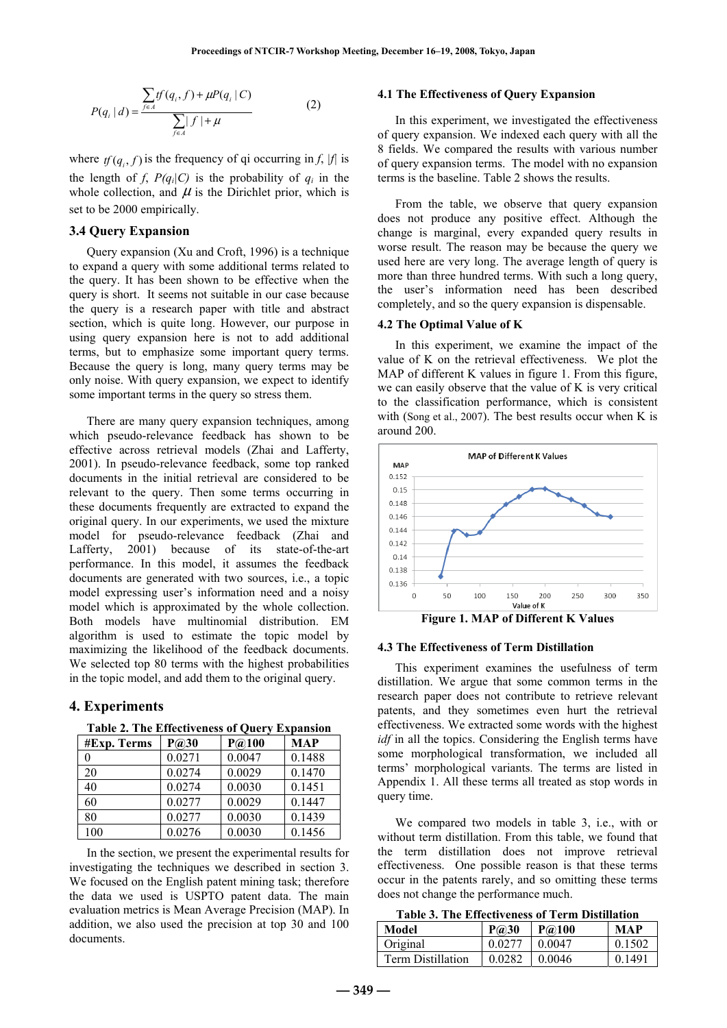$$
P(q_i | d) = \frac{\sum_{f \in A} tf(q_i, f) + \mu P(q_i | C)}{\sum_{f \in A} |f| + \mu}
$$
 (2)

where  $f(q_i, f)$  is the frequency of qi occurring in *f*, |f| is the length of *f*,  $P(q_i|C)$  is the probability of  $q_i$  in the whole collection, and  $\mu$  is the Dirichlet prior, which is set to be 2000 empirically.

# **3.4 Query Expansion**

Query expansion (Xu and Croft, 1996) is a technique to expand a query with some additional terms related to the query. It has been shown to be effective when the query is short. It seems not suitable in our case because the query is a research paper with title and abstract section, which is quite long. However, our purpose in using query expansion here is not to add additional terms, but to emphasize some important query terms. Because the query is long, many query terms may be only noise. With query expansion, we expect to identify some important terms in the query so stress them.

There are many query expansion techniques, among which pseudo-relevance feedback has shown to be effective across retrieval models (Zhai and Lafferty, 2001). In pseudo-relevance feedback, some top ranked documents in the initial retrieval are considered to be relevant to the query. Then some terms occurring in these documents frequently are extracted to expand the original query. In our experiments, we used the mixture model for pseudo-relevance feedback (Zhai and Lafferty, 2001) because of its state-of-the-art performance. In this model, it assumes the feedback documents are generated with two sources, i.e., a topic model expressing user's information need and a noisy model which is approximated by the whole collection. Both models have multinomial distribution. EM algorithm is used to estimate the topic model by maximizing the likelihood of the feedback documents. We selected top 80 terms with the highest probabilities in the topic model, and add them to the original query.

### **4. Experiments**

| <b>Table 2. The Effectiveness of Query Expansion</b>                                           |  |               |            |  |
|------------------------------------------------------------------------------------------------|--|---------------|------------|--|
| $\text{H}\mathbf{E}_{\mathbf{v}\mathbf{n}}$ Towns $\mathbf{D}\widehat{\boldsymbol{\omega}}$ 20 |  | $D \odot 100$ | <b>MAD</b> |  |

| #Exp. Terms | P(230) | P@100  | MAP    |
|-------------|--------|--------|--------|
| $\theta$    | 0.0271 | 0.0047 | 0.1488 |
| 20          | 0.0274 | 0.0029 | 0.1470 |
| 40          | 0.0274 | 0.0030 | 0.1451 |
| 60          | 0.0277 | 0.0029 | 0.1447 |
| 80          | 0.0277 | 0.0030 | 0.1439 |
| 100         | 0.0276 | 0.0030 | 0.1456 |

In the section, we present the experimental results for investigating the techniques we described in section 3. We focused on the English patent mining task; therefore the data we used is USPTO patent data. The main evaluation metrics is Mean Average Precision (MAP). In addition, we also used the precision at top 30 and 100 documents.

### **4.1 The Effectiveness of Query Expansion**

In this experiment, we investigated the effectiveness of query expansion. We indexed each query with all the 8 fields. We compared the results with various number of query expansion terms. The model with no expansion terms is the baseline. Table 2 shows the results.

From the table, we observe that query expansion does not produce any positive effect. Although the change is marginal, every expanded query results in worse result. The reason may be because the query we used here are very long. The average length of query is more than three hundred terms. With such a long query, the user's information need has been described completely, and so the query expansion is dispensable.

### **4.2 The Optimal Value of K**

In this experiment, we examine the impact of the value of K on the retrieval effectiveness. We plot the MAP of different K values in figure 1. From this figure, we can easily observe that the value of K is very critical to the classification performance, which is consistent with (Song et al., 2007). The best results occur when K is around 200.



#### **4.3 The Effectiveness of Term Distillation**

This experiment examines the usefulness of term distillation. We argue that some common terms in the research paper does not contribute to retrieve relevant patents, and they sometimes even hurt the retrieval effectiveness. We extracted some words with the highest *idf* in all the topics. Considering the English terms have some morphological transformation, we included all terms' morphological variants. The terms are listed in Appendix 1. All these terms all treated as stop words in query time.

We compared two models in table 3, i.e., with or without term distillation. From this table, we found that the term distillation does not improve retrieval effectiveness. One possible reason is that these terms occur in the patents rarely, and so omitting these terms does not change the performance much.

**Table 3. The Effectiveness of Term Distillation** 

| Model                    | P@30   | P@100  | MAP       |
|--------------------------|--------|--------|-----------|
| Original                 | 0.0277 | 0.0047 | 0.1502    |
| <b>Term Distillation</b> | 0.0282 | 0.0046 | 0 1 4 9 1 |